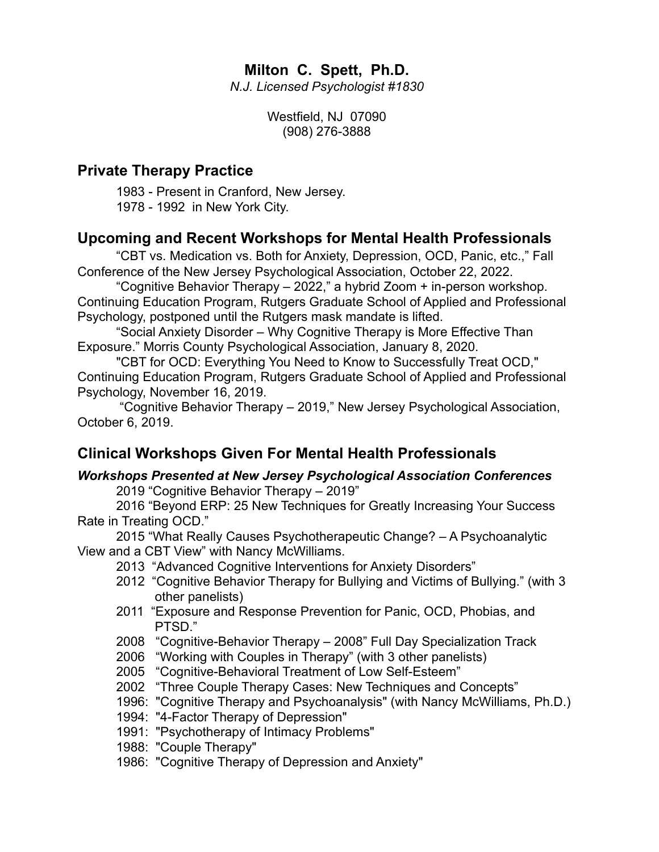## **Milton C. Spett, Ph.D.**

*N.J. Licensed Psychologist #1830*

Westfield, NJ 07090 (908) 276-3888

## **Private Therapy Practice**

1983 - Present in Cranford, New Jersey. 1978 - 1992 in New York City.

## **Upcoming and Recent Workshops for Mental Health Professionals**

"CBT vs. Medication vs. Both for Anxiety, Depression, OCD, Panic, etc.," Fall Conference of the New Jersey Psychological Association, October 22, 2022.

"Cognitive Behavior Therapy – 2022," a hybrid Zoom + in-person workshop. Continuing Education Program, Rutgers Graduate School of Applied and Professional Psychology, postponed until the Rutgers mask mandate is lifted.

"Social Anxiety Disorder – Why Cognitive Therapy is More Effective Than Exposure." Morris County Psychological Association, January 8, 2020.

"CBT for OCD: Everything You Need to Know to Successfully Treat OCD," Continuing Education Program, Rutgers Graduate School of Applied and Professional Psychology, November 16, 2019.

 "Cognitive Behavior Therapy – 2019," New Jersey Psychological Association, October 6, 2019.

## **Clinical Workshops Given For Mental Health Professionals**

#### *Workshops Presented at New Jersey Psychological Association Conferences* 2019 "Cognitive Behavior Therapy – 2019"

2016 "Beyond ERP: 25 New Techniques for Greatly Increasing Your Success Rate in Treating OCD."

2015 "What Really Causes Psychotherapeutic Change? – A Psychoanalytic View and a CBT View" with Nancy McWilliams.

- 2013 "Advanced Cognitive Interventions for Anxiety Disorders"
- 2012 "Cognitive Behavior Therapy for Bullying and Victims of Bullying." (with 3 other panelists)
- 2011 "Exposure and Response Prevention for Panic, OCD, Phobias, and PTSD."
- 2008 "Cognitive-Behavior Therapy 2008" Full Day Specialization Track
- 2006 "Working with Couples in Therapy" (with 3 other panelists)
- 2005 "Cognitive-Behavioral Treatment of Low Self-Esteem"
- 2002 "Three Couple Therapy Cases: New Techniques and Concepts"
- 1996: "Cognitive Therapy and Psychoanalysis" (with Nancy McWilliams, Ph.D.)
- 1994: "4-Factor Therapy of Depression"
- 1991: "Psychotherapy of Intimacy Problems"
- 1988: "Couple Therapy"
- 1986: "Cognitive Therapy of Depression and Anxiety"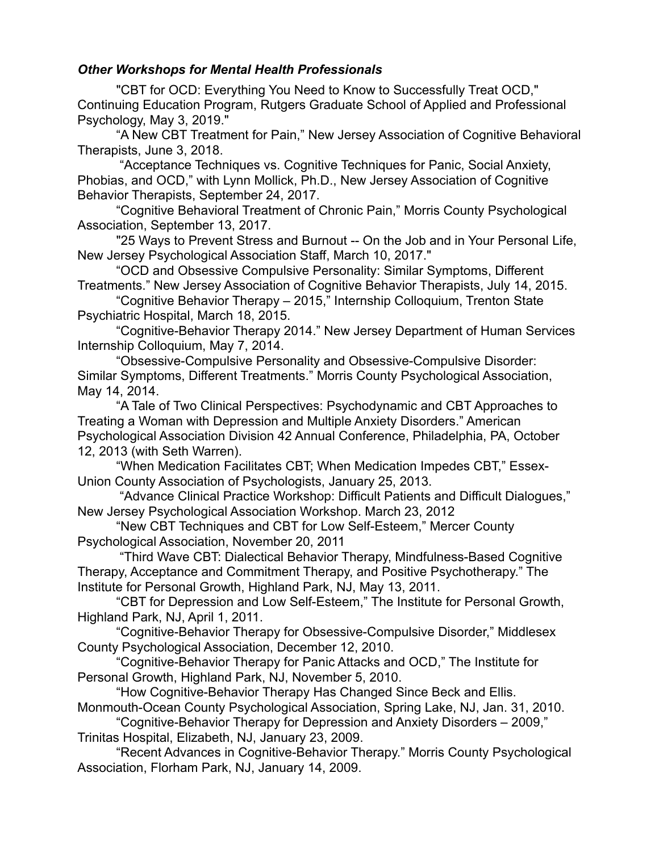#### *Other Workshops for Mental Health Professionals*

"CBT for OCD: Everything You Need to Know to Successfully Treat OCD," Continuing Education Program, Rutgers Graduate School of Applied and Professional Psychology, May 3, 2019."

"A New CBT Treatment for Pain," New Jersey Association of Cognitive Behavioral Therapists, June 3, 2018.

 "Acceptance Techniques vs. Cognitive Techniques for Panic, Social Anxiety, Phobias, and OCD," with Lynn Mollick, Ph.D., New Jersey Association of Cognitive Behavior Therapists, September 24, 2017.

"Cognitive Behavioral Treatment of Chronic Pain," Morris County Psychological Association, September 13, 2017.

"25 Ways to Prevent Stress and Burnout -- On the Job and in Your Personal Life, New Jersey Psychological Association Staff, March 10, 2017."

"OCD and Obsessive Compulsive Personality: Similar Symptoms, Different Treatments." New Jersey Association of Cognitive Behavior Therapists, July 14, 2015.

"Cognitive Behavior Therapy – 2015," Internship Colloquium, Trenton State Psychiatric Hospital, March 18, 2015.

"Cognitive-Behavior Therapy 2014." New Jersey Department of Human Services Internship Colloquium, May 7, 2014.

"Obsessive-Compulsive Personality and Obsessive-Compulsive Disorder: Similar Symptoms, Different Treatments." Morris County Psychological Association, May 14, 2014.

"A Tale of Two Clinical Perspectives: Psychodynamic and CBT Approaches to Treating a Woman with Depression and Multiple Anxiety Disorders." American Psychological Association Division 42 Annual Conference, Philadelphia, PA, October 12, 2013 (with Seth Warren).

"When Medication Facilitates CBT; When Medication Impedes CBT," Essex-Union County Association of Psychologists, January 25, 2013.

 "Advance Clinical Practice Workshop: Difficult Patients and Difficult Dialogues," New Jersey Psychological Association Workshop. March 23, 2012

"New CBT Techniques and CBT for Low Self-Esteem," Mercer County Psychological Association, November 20, 2011

 "Third Wave CBT: Dialectical Behavior Therapy, Mindfulness-Based Cognitive Therapy, Acceptance and Commitment Therapy, and Positive Psychotherapy." The Institute for Personal Growth, Highland Park, NJ, May 13, 2011.

"CBT for Depression and Low Self-Esteem," The Institute for Personal Growth, Highland Park, NJ, April 1, 2011.

"Cognitive-Behavior Therapy for Obsessive-Compulsive Disorder," Middlesex County Psychological Association, December 12, 2010.

"Cognitive-Behavior Therapy for Panic Attacks and OCD," The Institute for Personal Growth, Highland Park, NJ, November 5, 2010.

"How Cognitive-Behavior Therapy Has Changed Since Beck and Ellis. Monmouth-Ocean County Psychological Association, Spring Lake, NJ, Jan. 31, 2010.

"Cognitive-Behavior Therapy for Depression and Anxiety Disorders – 2009," Trinitas Hospital, Elizabeth, NJ, January 23, 2009.

"Recent Advances in Cognitive-Behavior Therapy." Morris County Psychological Association, Florham Park, NJ, January 14, 2009.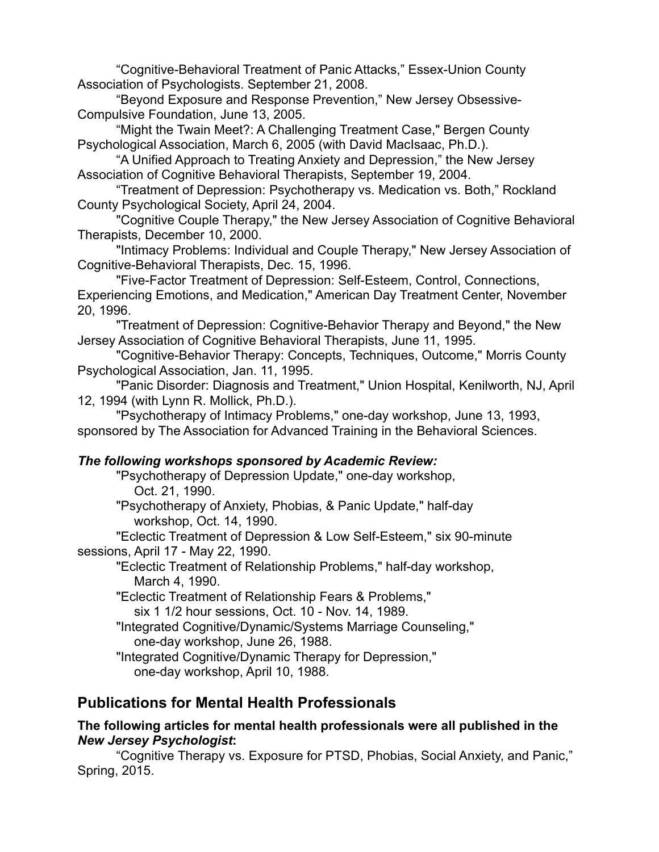"Cognitive-Behavioral Treatment of Panic Attacks," Essex-Union County Association of Psychologists. September 21, 2008.

"Beyond Exposure and Response Prevention," New Jersey Obsessive-Compulsive Foundation, June 13, 2005.

"Might the Twain Meet?: A Challenging Treatment Case," Bergen County Psychological Association, March 6, 2005 (with David MacIsaac, Ph.D.).

"A Unified Approach to Treating Anxiety and Depression," the New Jersey Association of Cognitive Behavioral Therapists, September 19, 2004.

"Treatment of Depression: Psychotherapy vs. Medication vs. Both," Rockland County Psychological Society, April 24, 2004.

"Cognitive Couple Therapy," the New Jersey Association of Cognitive Behavioral Therapists, December 10, 2000.

"Intimacy Problems: Individual and Couple Therapy," New Jersey Association of Cognitive-Behavioral Therapists, Dec. 15, 1996.

"Five-Factor Treatment of Depression: Self-Esteem, Control, Connections, Experiencing Emotions, and Medication," American Day Treatment Center, November 20, 1996.

"Treatment of Depression: Cognitive-Behavior Therapy and Beyond," the New Jersey Association of Cognitive Behavioral Therapists, June 11, 1995.

"Cognitive-Behavior Therapy: Concepts, Techniques, Outcome," Morris County Psychological Association, Jan. 11, 1995.

"Panic Disorder: Diagnosis and Treatment," Union Hospital, Kenilworth, NJ, April 12, 1994 (with Lynn R. Mollick, Ph.D.).

"Psychotherapy of Intimacy Problems," one-day workshop, June 13, 1993, sponsored by The Association for Advanced Training in the Behavioral Sciences.

#### *The following workshops sponsored by Academic Review:*

"Psychotherapy of Depression Update," one-day workshop,

Oct. 21, 1990.

"Psychotherapy of Anxiety, Phobias, & Panic Update," half-day workshop, Oct. 14, 1990.

"Eclectic Treatment of Depression & Low Self-Esteem," six 90-minute sessions, April 17 - May 22, 1990.

"Eclectic Treatment of Relationship Problems," half-day workshop, March 4, 1990.

"Eclectic Treatment of Relationship Fears & Problems,"

six 1 1/2 hour sessions, Oct. 10 - Nov. 14, 1989.

"Integrated Cognitive/Dynamic/Systems Marriage Counseling," one-day workshop, June 26, 1988.

"Integrated Cognitive/Dynamic Therapy for Depression," one-day workshop, April 10, 1988.

## **Publications for Mental Health Professionals**

#### **The following articles for mental health professionals were all published in the**  *New Jersey Psychologist***:**

"Cognitive Therapy vs. Exposure for PTSD, Phobias, Social Anxiety, and Panic," Spring, 2015.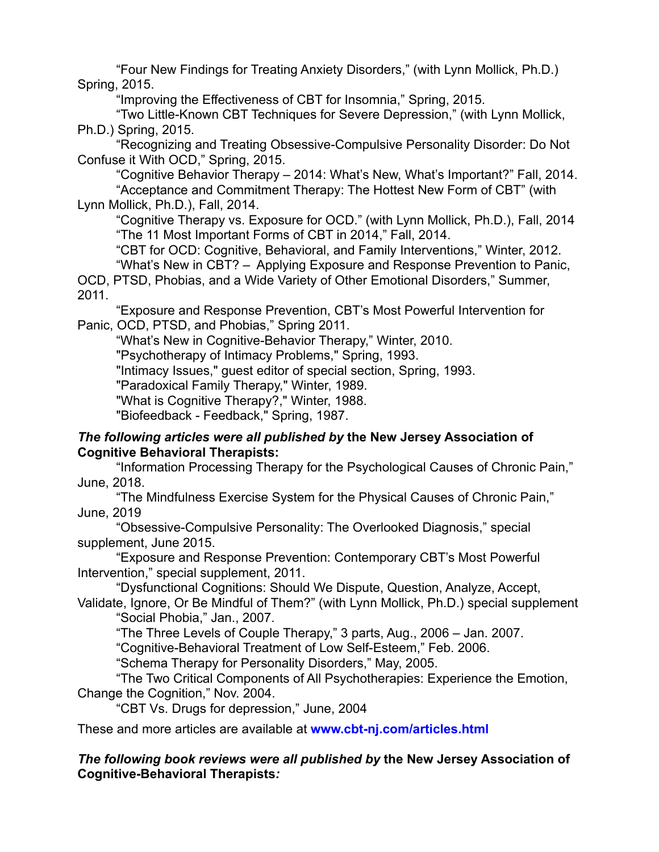"Four New Findings for Treating Anxiety Disorders," (with Lynn Mollick, Ph.D.) Spring, 2015.

"Improving the Effectiveness of CBT for Insomnia," Spring, 2015.

"Two Little-Known CBT Techniques for Severe Depression," (with Lynn Mollick, Ph.D.) Spring, 2015.

"Recognizing and Treating Obsessive-Compulsive Personality Disorder: Do Not Confuse it With OCD," Spring, 2015.

"Cognitive Behavior Therapy – 2014: What's New, What's Important?" Fall, 2014. "Acceptance and Commitment Therapy: The Hottest New Form of CBT" (with Lynn Mollick, Ph.D.), Fall, 2014.

"Cognitive Therapy vs. Exposure for OCD." (with Lynn Mollick, Ph.D.), Fall, 2014 "The 11 Most Important Forms of CBT in 2014," Fall, 2014.

"CBT for OCD: Cognitive, Behavioral, and Family Interventions," Winter, 2012. "What's New in CBT? – Applying Exposure and Response Prevention to Panic,

OCD, PTSD, Phobias, and a Wide Variety of Other Emotional Disorders," Summer, 2011.

"Exposure and Response Prevention, CBT's Most Powerful Intervention for Panic, OCD, PTSD, and Phobias," Spring 2011.

"What's New in Cognitive-Behavior Therapy," Winter, 2010.

"Psychotherapy of Intimacy Problems," Spring, 1993.

"Intimacy Issues," guest editor of special section, Spring, 1993.

"Paradoxical Family Therapy," Winter, 1989.

"What is Cognitive Therapy?," Winter, 1988.

"Biofeedback - Feedback," Spring, 1987.

#### *The following articles were all published by* **the New Jersey Association of Cognitive Behavioral Therapists:**

"Information Processing Therapy for the Psychological Causes of Chronic Pain," June, 2018.

"The Mindfulness Exercise System for the Physical Causes of Chronic Pain," June, 2019

"Obsessive-Compulsive Personality: The Overlooked Diagnosis," special supplement, June 2015.

"Exposure and Response Prevention: Contemporary CBT's Most Powerful Intervention," special supplement, 2011.

"Dysfunctional Cognitions: Should We Dispute, Question, Analyze, Accept, Validate, Ignore, Or Be Mindful of Them?" (with Lynn Mollick, Ph.D.) special supplement

"Social Phobia," Jan., 2007.

"The Three Levels of Couple Therapy," 3 parts, Aug., 2006 – Jan. 2007.

"Cognitive-Behavioral Treatment of Low Self-Esteem," Feb. 2006.

"Schema Therapy for Personality Disorders," May, 2005.

"The Two Critical Components of All Psychotherapies: Experience the Emotion, Change the Cognition," Nov. 2004.

"CBT Vs. Drugs for depression," June, 2004

These and more articles are available at **www.cbt-nj.com/articles.html**

#### *The following book reviews were all published by* **the New Jersey Association of Cognitive-Behavioral Therapists***:*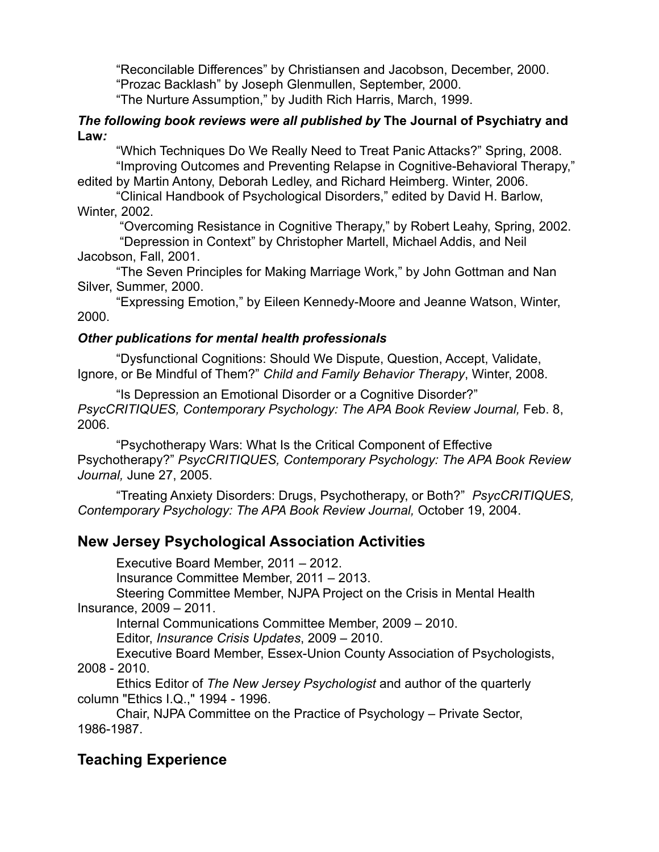"Reconcilable Differences" by Christiansen and Jacobson, December, 2000. "Prozac Backlash" by Joseph Glenmullen, September, 2000. "The Nurture Assumption," by Judith Rich Harris, March, 1999.

#### *The following book reviews were all published by* **The Journal of Psychiatry and Law***:*

"Which Techniques Do We Really Need to Treat Panic Attacks?" Spring, 2008. "Improving Outcomes and Preventing Relapse in Cognitive-Behavioral Therapy,"

edited by Martin Antony, Deborah Ledley, and Richard Heimberg. Winter, 2006.

"Clinical Handbook of Psychological Disorders," edited by David H. Barlow, Winter, 2002.

 "Overcoming Resistance in Cognitive Therapy," by Robert Leahy, Spring, 2002. "Depression in Context" by Christopher Martell, Michael Addis, and Neil Jacobson, Fall, 2001.

"The Seven Principles for Making Marriage Work," by John Gottman and Nan Silver, Summer, 2000.

"Expressing Emotion," by Eileen Kennedy-Moore and Jeanne Watson, Winter, 2000.

### *Other publications for mental health professionals*

"Dysfunctional Cognitions: Should We Dispute, Question, Accept, Validate, Ignore, or Be Mindful of Them?" *Child and Family Behavior Therapy*, Winter, 2008.

"Is Depression an Emotional Disorder or a Cognitive Disorder?" *PsycCRITIQUES, Contemporary Psychology: The APA Book Review Journal,* Feb. 8, 2006.

"Psychotherapy Wars: What Is the Critical Component of Effective Psychotherapy?" *PsycCRITIQUES, Contemporary Psychology: The APA Book Review Journal,* June 27, 2005.

"Treating Anxiety Disorders: Drugs, Psychotherapy, or Both?" *PsycCRITIQUES, Contemporary Psychology: The APA Book Review Journal,* October 19, 2004.

## **New Jersey Psychological Association Activities**

Executive Board Member, 2011 – 2012.

Insurance Committee Member, 2011 – 2013.

Steering Committee Member, NJPA Project on the Crisis in Mental Health Insurance, 2009 – 2011.

Internal Communications Committee Member, 2009 – 2010.

Editor, *Insurance Crisis Updates*, 2009 – 2010.

Executive Board Member, Essex-Union County Association of Psychologists, 2008 - 2010.

Ethics Editor of *The New Jersey Psychologist* and author of the quarterly column "Ethics I.Q.," 1994 - 1996.

Chair, NJPA Committee on the Practice of Psychology – Private Sector, 1986-1987.

# **Teaching Experience**